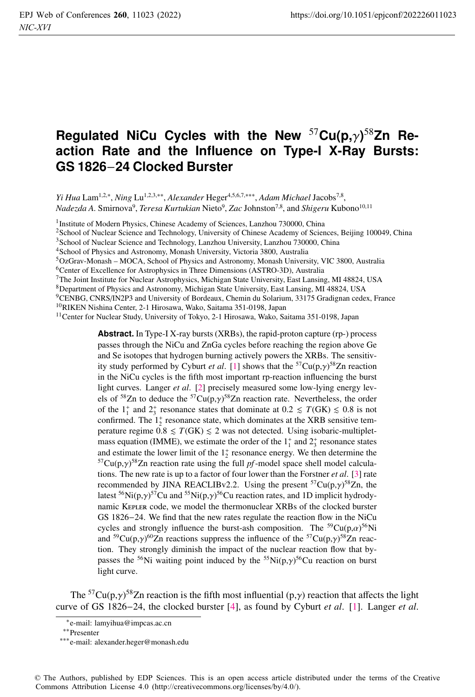## **Regulated NiCu Cycles with the New** <sup>57</sup>**Cu(p,**γ**)** <sup>58</sup>**Zn Reaction Rate and the Influence on Type-I X-Ray Bursts: GS 1826**−**24 Clocked Burster**

*Yi Hua* Lam<sup>1,2,∗</sup>, *Ning* Lu<sup>1,2,3,∗∗, *Alexander* Heger<sup>4,5,6,7,∗∗∗, *Adam Michael* Jacobs<sup>7,8</sup>,</sup></sup> *Nadezda A.* Smirnova<sup>9</sup> , *Teresa Kurtukian* Nieto<sup>9</sup> , *Zac* Johnston<sup>7</sup>,<sup>8</sup> , and *Shigeru* Kubono<sup>10</sup>,<sup>11</sup>

<sup>1</sup> Institute of Modern Physics, Chinese Academy of Sciences, Lanzhou 730000, China

<sup>2</sup>School of Nuclear Science and Technology, University of Chinese Academy of Sciences, Beijing 100049, China

<sup>3</sup>School of Nuclear Science and Technology, Lanzhou University, Lanzhou 730000, China

<sup>4</sup>School of Physics and Astronomy, Monash University, Victoria 3800, Australia

<sup>5</sup>OzGrav-Monash – MOCA, School of Physics and Astronomy, Monash University, VIC 3800, Australia

<sup>6</sup>Center of Excellence for Astrophysics in Three Dimensions (ASTRO-3D), Australia

<sup>7</sup>The Joint Institute for Nuclear Astrophysics, Michigan State University, East Lansing, MI 48824, USA

<sup>8</sup>Department of Physics and Astronomy, Michigan State University, East Lansing, MI 48824, USA

<sup>9</sup>CENBG, CNRS/IN2P3 and University of Bordeaux, Chemin du Solarium, 33175 Gradignan cedex, France

<sup>10</sup>RIKEN Nishina Center, 2-1 Hirosawa, Wako, Saitama 351-0198, Japan

<sup>11</sup> Center for Nuclear Study, University of Tokyo, 2-1 Hirosawa, Wako, Saitama 351-0198, Japan

**Abstract.** In Type-I X-ray bursts (XRBs), the rapid-proton capture (rp-) process passes through the NiCu and ZnGa cycles before reaching the region above Ge and Se isotopes that hydrogen burning actively powers the XRBs. The sensitivity study performed by Cyburt *et al.* [1] shows that the <sup>57</sup>Cu(p,γ)<sup>58</sup>Zn reaction in the NiCu cycles is the fifth most important rp-reaction influencing the burst light curves. Langer *et al*. [2] precisely measured some low-lying energy levels of <sup>58</sup>Zn to deduce the <sup>57</sup>Cu(p, $\gamma$ )<sup>58</sup>Zn reaction rate. Nevertheless, the order of the  $1_1^+$  and  $2_3^+$  resonance states that dominate at  $0.2 \leq T(GK) \leq 0.8$  is not confirmed. The  $1^+_2$  resonance state, which dominates at the XRB sensitive temperature regime  $0.8 \leq T(GK) \leq 2$  was not detected. Using isobaric-multipletmass equation (IMME), we estimate the order of the  $1<sub>1</sub><sup>+</sup>$  and  $2<sub>3</sub><sup>+</sup>$  resonance states and estimate the lower limit of the  $1<sub>2</sub><sup>+</sup>$  resonance energy. We then determine the and estimate the lower limit of the  $1<sub>2</sub><sup>+</sup>$  resonance energy. We then determine the  $5<sup>7</sup>Cu(p,y)<sup>58</sup>Zn$  reaction rate using the full *pf*-model space shell model calculations. The new rate is up to a factor of four lower than the Forstner *et al*. [3] rate recommended by JINA REACLIBv2.2. Using the present  ${}^{57}Cu(p,\gamma){}^{58}Zn$ , the latest <sup>56</sup>Ni(p, $\gamma$ )<sup>57</sup>Cu and <sup>55</sup>Ni(p, $\gamma$ )<sup>56</sup>Cu reaction rates, and 1D implicit hydrodynamic Kepler code, we model the thermonuclear XRBs of the clocked burster GS 1826−24. We find that the new rates regulate the reaction flow in the NiCu cycles and strongly influence the burst-ash composition. The  ${}^{59}Cu(p,\alpha){}^{56}Ni$ and <sup>59</sup>Cu(p, $\gamma$ )<sup>60</sup>Zn reactions suppress the influence of the <sup>57</sup>Cu(p, $\gamma$ )<sup>58</sup>Zn reaction. They strongly diminish the impact of the nuclear reaction flow that bypasses the <sup>56</sup>Ni waiting point induced by the <sup>55</sup>Ni(p, $\gamma$ )<sup>56</sup>Cu reaction on burst light curve.

The <sup>57</sup>Cu(p, $\gamma$ )<sup>58</sup>Zn reaction is the fifth most influential (p, $\gamma$ ) reaction that affects the light curve of GS 1826−24, the clocked burster [4], as found by Cyburt *et al*. [1]. Langer *et al*.

© The Authors, published by EDP Sciences. This is an open access article distributed under the terms of the Creative Commons Attribution License 4.0 (http://creativecommons.org/licenses/by/4.0/).

<sup>∗</sup>e-mail: lamyihua@impcas.ac.cn

<sup>∗∗</sup>Presenter

<sup>∗∗∗</sup>e-mail: alexander.heger@monash.edu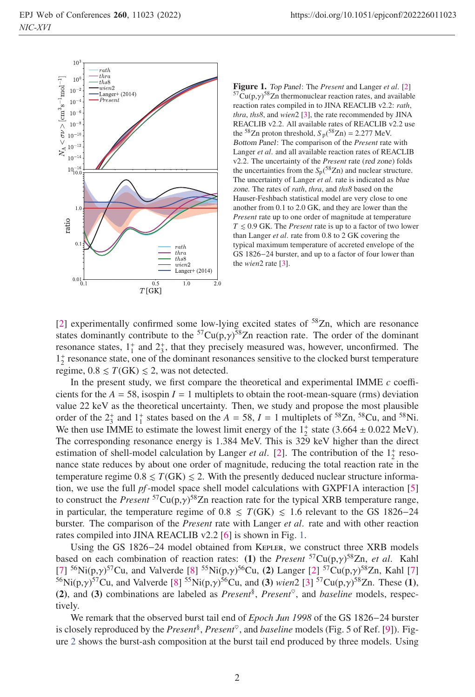

Figure 1. *Top Panel*: The *Present* and Langer *et al.* [2]  $57$ Cu(p, $\gamma$ )<sup>58</sup>Zn thermonuclear reaction rates, and available reaction rates compiled in to JINA REACLIB v2.2: *rath*, *thra*, *ths8*, and *wien*2 [3], the rate recommended by JINA REACLIB v2.2. All available rates of REACLIB v2.2 use the <sup>58</sup>Zn proton threshold,  $S_p(^{58}Zn) = 2.277$  MeV. *Bottom Panel*: The comparison of the *Present* rate with Langer *et al*. and all available reaction rates of REACLIB v2.2. The uncertainty of the *Present* rate (*red zone*) folds the uncertainties from the  $S_p(^{58}Zn)$  and nuclear structure. The uncertainty of Langer *et al*. rate is indicated as *blue zone*. The rates of *rath*, *thra*, and *ths8* based on the Hauser-Feshbach statistical model are very close to one another from 0.1 to 2.0 GK, and they are lower than the *Present* rate up to one order of magnitude at temperature  $T \leq 0.9$  GK. The *Present* rate is up to a factor of two lower than Langer *et al*. rate from 0.8 to 2 GK covering the typical maximum temperature of accreted envelope of the GS 1826−24 burster, and up to a factor of four lower than the *wien*2 rate [3].

[2] experimentally confirmed some low-lying excited states of  $58$ Zn, which are resonance states dominantly contribute to the  ${}^{57}Cu(p,\gamma){}^{58}Zn$  reaction rate. The order of the dominant resonance states,  $1^{\dagger}$  and  $2^{\dagger}$ , that they precisely measured was, however, unconfirmed. The 1+ <sup>2</sup> resonance state, one of the dominant resonances sensitive to the clocked burst temperature regime,  $0.8 \le T(GK) \le 2$ , was not detected.

In the present study, we first compare the theoretical and experimental IMME *c* coefficients for the  $A = 58$ , isospin  $I = 1$  multiplets to obtain the root-mean-square (rms) deviation value 22 keV as the theoretical uncertainty. Then, we study and propose the most plausible order of the  $2^+_3$  and  $1^+_1$  states based on the  $A = 58$ ,  $I = 1$  multiplets of <sup>58</sup>Zn, <sup>58</sup>Cu, and <sup>58</sup>Ni. We then use IMME to estimate the lowest limit energy of the  $1<sub>2</sub><sup>+</sup>$  state (3.664  $\pm$  0.022 MeV). The corresponding resonance energy is 1.384 MeV. This is 329 keV higher than the direct estimation of shell-model calculation by Langer *et al.* [2]. The contribution of the  $1^+_2$  resonance state reduces by about one order of magnitude, reducing the total reaction rate in the temperature regime  $0.8 \leq T(GK) \leq 2$ . With the presently deduced nuclear structure information, we use the full *pf*-model space shell model calculations with GXPF1A interaction [5] to construct the *Present* 57Cu(p,γ) 58Zn reaction rate for the typical XRB temperature range, in particular, the temperature regime of  $0.8 \leq T(GK) \leq 1.6$  relevant to the GS 1826–24 burster. The comparison of the *Present* rate with Langer *et al*. rate and with other reaction rates compiled into JINA REACLIB v2.2 [6] is shown in Fig. 1.

Using the GS 1826−24 model obtained from Kepler, we construct three XRB models based on each combination of reaction rates: (1) the *Present* <sup>57</sup>Cu(p,*γ*)<sup>58</sup>Zn, *et al.* Kahl [7] <sup>56</sup>Ni(p,*γ*)<sup>57</sup>Cu, and Valverde [8] <sup>55</sup>Ni(p,*γ*)<sup>56</sup>Cu, (2) Langer [2] <sup>57</sup>Cu(p,*γ*)<sup>58</sup>Zn, Kahl [7] 568Ni(p,*γ*)<sup>57</sup> based on each combination of reaction rates: (1) the *Present*  ${}^{57}Cu(p,y){}^{58}Zn$ , *et al.* Kahl <sup>56</sup>Ni(p,*γ*)<sup>57</sup>Cu, and Valverde [8] <sup>55</sup>Ni(p,*γ*)<sup>56</sup>Cu, and (3) *wien*2 [3] <sup>57</sup>Cu(p,*γ*)<sup>58</sup>Zn. These (1),<br>(2) and (3) combinations are labeled as *Present*<sup>8</sup> *Present*<sup>9</sup> and *baseline* models respec-(2), and (3) combinations are labeled as  $Present^{\S}$ ,  $Present^{\heartsuit}$ , and *baseline* models, respectively.

We remark that the observed burst tail end of *Epoch Jun 1998* of the GS 1826−24 burster is closely reproduced by the *Present*<sup>§</sup>, *Present*<sup>§</sup>, and *baseline* models (Fig. 5 of Ref. [9]). Figure 2 shows the burst-ash composition at the burst tail end produced by three models. Using